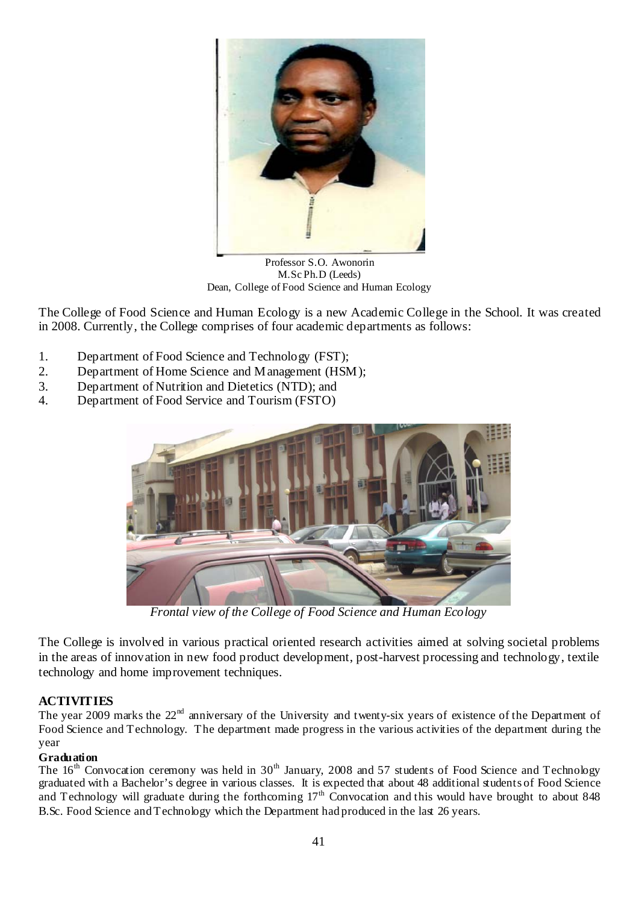

Professor S.O. Awonorin M.Sc Ph.D (Leeds) Dean, College of Food Science and Human Ecology

The College of Food Science and Human Ecology is a new Academic College in the School. It was created in 2008. Currently, the College comprises of four academic departments as follows:

- 1. Department of Food Science and Technology (FST);
- 2. Department of Home Science and Management (HSM);
- 3. Department of Nutrition and Dietetics (NTD); and
- 4. Department of Food Service and Tourism (FSTO)



*Frontal view of the College of Food Science and Human Ecology* 

The College is involved in various practical oriented research activities aimed at solving societal problems in the areas of innovation in new food product development, post-harvest processing and technology, textile technology and home improvement techniques.

### **ACTIVITIES**

The year 2009 marks the 22<sup>nd</sup> anniversary of the University and twenty-six years of existence of the Department of Food Science and Technology. The department made progress in the various activities of the department during the year

### **Graduation**

The 16<sup>th</sup> Convocation ceremony was held in 30<sup>th</sup> January, 2008 and 57 students of Food Science and Technology graduated with a Bachelor's degree in various classes. It is expected that about 48 additional students of Food Science and Technology will graduate during the forthcoming  $17<sup>th</sup>$  Convocation and this would have brought to about 848 B.Sc. Food Science and Technology which the Department had produced in the last 26 years.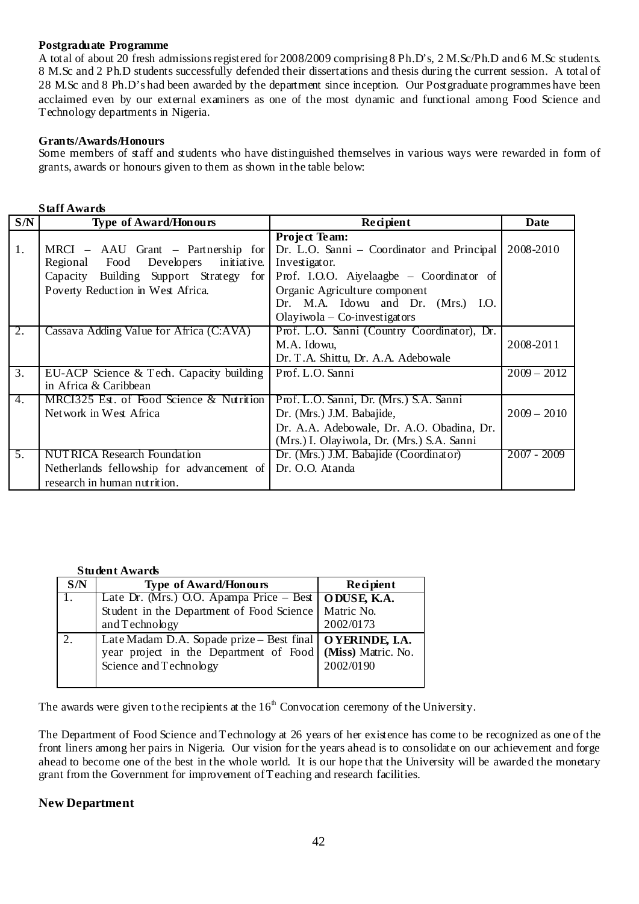#### **Postgraduate Programme**

A total of about 20 fresh admissions registered for 2008/2009 comprising 8 Ph.D's, 2 M.Sc/Ph.D and 6 M.Sc students. 8 M.Sc and 2 Ph.D students successfully defended their dissertations and thesis during the current session. A total of 28 M.Sc and 8 Ph.D's had been awarded by the department since inception. Our Postgraduate programmes have been acclaimed even by our external examiners as one of the most dynamic and functional among Food Science and Technology departments in Nigeria.

#### **Grants/Awards/Honours**

Some members of staff and students who have distinguished themselves in various ways were rewarded in form of grants, awards or honours given to them as shown in the table below:

| <b>Staff Awards</b> |                                            |                                                                               |               |  |
|---------------------|--------------------------------------------|-------------------------------------------------------------------------------|---------------|--|
| S/N                 | <b>Type of Award/Honours</b>               | Recipient                                                                     | Date          |  |
|                     |                                            | Project Team:                                                                 |               |  |
| 1.                  |                                            | MRCI – AAU Grant – Partnership for Dr. L.O. Sanni – Coordinator and Principal | 2008-2010     |  |
|                     | Food Developers<br>initiative.<br>Regional | Investigator.                                                                 |               |  |
|                     | Capacity Building Support Strategy for     | Prof. I.O.O. Aiyelaagbe – Coordinator of                                      |               |  |
|                     | Poverty Reduction in West Africa.          | Organic Agriculture component                                                 |               |  |
|                     |                                            | Dr. M.A. Idowu and Dr. (Mrs.) I.O.                                            |               |  |
|                     |                                            | Olayiwola $-$ Co-investigators                                                |               |  |
| 2.                  | Cassava Adding Value for Africa (C:AVA)    | Prof. L.O. Sanni (Country Coordinator), Dr.                                   |               |  |
|                     |                                            | M.A. Idowu,                                                                   | 2008-2011     |  |
|                     |                                            | Dr. T.A. Shittu, Dr. A.A. Adebowale                                           |               |  |
| 3.                  | EU-ACP Science & Tech. Capacity building   | Prof. L.O. Sanni                                                              | $2009 - 2012$ |  |
|                     | in Africa & Caribbean                      |                                                                               |               |  |
| 4.                  | MRCI325 Est. of Food Science & Nutrition   | Prof. L.O. Sanni, Dr. (Mrs.) S.A. Sanni                                       |               |  |
|                     | Network in West Africa                     | Dr. (Mrs.) J.M. Babajide,                                                     | $2009 - 2010$ |  |
|                     |                                            | Dr. A.A. Adebowale, Dr. A.O. Obadina, Dr.                                     |               |  |
|                     |                                            | (Mrs.) I. Olayiwola, Dr. (Mrs.) S.A. Sanni                                    |               |  |
| 5 <sub>1</sub>      | <b>NUTRICA Research Foundation</b>         | Dr. (Mrs.) J.M. Babajide (Coordinator)                                        | $2007 - 2009$ |  |
|                     | Netherlands fellowship for advancement of  | Dr. O.O. Atanda                                                               |               |  |
|                     | research in human nutrition.               |                                                                               |               |  |

|     | ouwutanaiw                                                                                                                                           |           |  |
|-----|------------------------------------------------------------------------------------------------------------------------------------------------------|-----------|--|
| S/N | <b>Type of Award/Honours</b>                                                                                                                         | Recipient |  |
|     | Late Dr. (Mrs.) O.O. Apampa Price - Best   ODUSE, K.A.                                                                                               |           |  |
|     | Student in the Department of Food Science   Matric No.                                                                                               |           |  |
|     | and Technology                                                                                                                                       | 2002/0173 |  |
|     | Late Madam D.A. Sopade prize - Best final   O YERINDE, I.A.<br>year project in the Department of Food   (Miss) Matric. No.<br>Science and Technology | 2002/0190 |  |

The awards were given to the recipients at the  $16<sup>th</sup>$  Convocation ceremony of the University.

The Department of Food Science and Technology at 26 years of her existence has come to be recognized as one of the front liners among her pairs in Nigeria. Our vision for the years ahead is to consolidate on our achievement and forge ahead to become one of the best in the whole world. It is our hope that the University will be awarded the monetary grant from the Government for improvement of Teaching and research facilities.

### **New Department**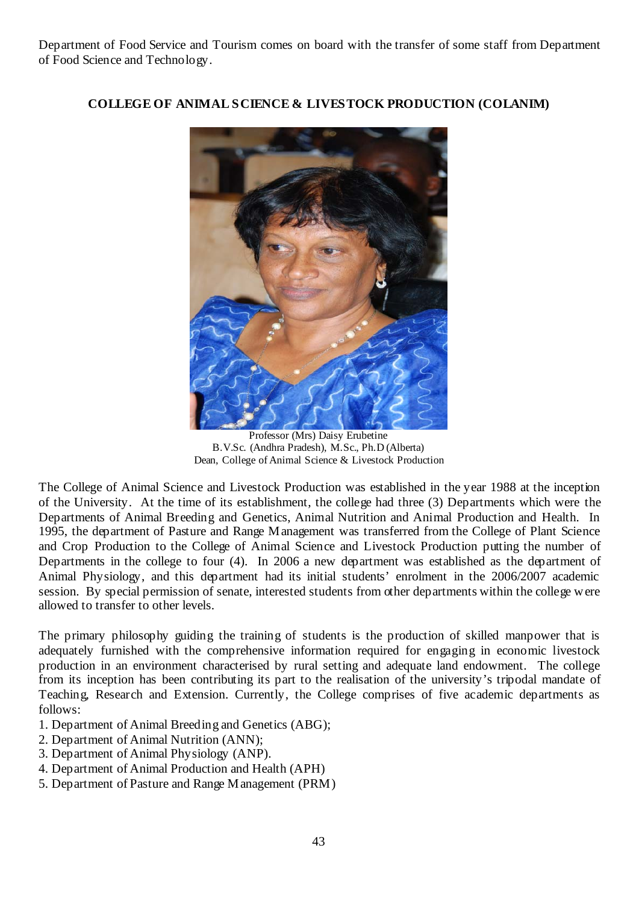Department of Food Service and Tourism comes on board with the transfer of some staff from Department of Food Science and Technology.



**COLLEGE OF ANIMAL SCIENCE & LIVESTOCK PRODUCTION (COLANIM)** 

Professor (Mrs) Daisy Erubetine B.V.Sc. (Andhra Pradesh), M.Sc., Ph.D (Alberta) Dean, College of Animal Science & Livestock Production

The College of Animal Science and Livestock Production was established in the year 1988 at the inception of the University. At the time of its establishment, the college had three (3) Departments which were the Departments of Animal Breeding and Genetics, Animal Nutrition and Animal Production and Health. In 1995, the department of Pasture and Range Management was transferred from the College of Plant Science and Crop Production to the College of Animal Science and Livestock Production putting the number of Departments in the college to four (4). In 2006 a new department was established as the department of Animal Physiology, and this department had its initial students' enrolment in the 2006/2007 academic session. By special permission of senate, interested students from other departments within the college were allowed to transfer to other levels.

The primary philosophy guiding the training of students is the production of skilled manpower that is adequately furnished with the comprehensive information required for engaging in economic livestock production in an environment characterised by rural setting and adequate land endowment. The college from its inception has been contributing its part to the realisation of the university's tripodal mandate of Teaching, Research and Extension. Currently, the College comprises of five academic departments as follows:

- 1. Department of Animal Breeding and Genetics (ABG);
- 2. Department of Animal Nutrition (ANN);
- 3. Department of Animal Physiology (ANP).
- 4. Department of Animal Production and Health (APH)
- 5. Department of Pasture and Range Management (PRM)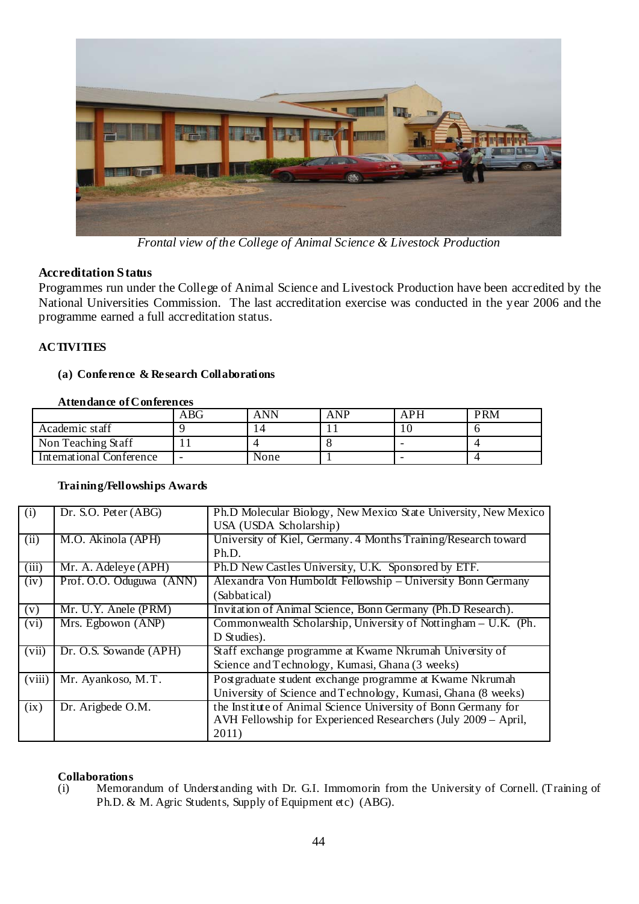

*Frontal view of the College of Animal Science & Livestock Production* 

## **Accreditation Status**

Programmes run under the College of Animal Science and Livestock Production have been accredited by the National Universities Commission. The last accreditation exercise was conducted in the year 2006 and the programme earned a full accreditation status.

### **ACTIVITIES**

#### **(a) Conference & Research Collaborations**

#### **Attendance of Conferences**

|                          | ABG | ANN  | <b>ANP</b> | APH | <b>PRM</b> |
|--------------------------|-----|------|------------|-----|------------|
| Academic staff           |     |      |            |     |            |
| Non Teaching Staff       |     |      |            |     |            |
| International Conference | -   | None |            |     |            |

### **Training/Fellowships Awards**

| (i)    | Dr. S.O. Peter (ABG)     | Ph.D Molecular Biology, New Mexico State University, New Mexico<br>USA (USDA Scholarship) |  |
|--------|--------------------------|-------------------------------------------------------------------------------------------|--|
| (ii)   | M.O. Akinola (APH)       | University of Kiel, Germany. 4 Months Training/Research toward                            |  |
|        |                          | Ph.D.                                                                                     |  |
| (iii)  | Mr. A. Adeleye (APH)     | Ph.D New Castles University, U.K. Sponsored by ETF.                                       |  |
| (iv)   | Prof. O.O. Oduguwa (ANN) | Alexandra Von Humboldt Fellowship – University Bonn Germany                               |  |
|        |                          | (Sabbatical)                                                                              |  |
| (v)    | Mr. U.Y. Anele (PRM)     | Invitation of Animal Science, Bonn Germany (Ph.D Research).                               |  |
| (vi)   | Mrs. Egbowon (ANP)       | Commonwealth Scholarship, University of Nottingham – U.K. (Ph.                            |  |
|        |                          | D Studies).                                                                               |  |
| (vii)  | Dr. O.S. Sowande (APH)   | Staff exchange programme at Kwame Nkrumah University of                                   |  |
|        |                          | Science and Technology, Kumasi, Ghana (3 weeks)                                           |  |
| (viii) | Mr. Ayankoso, M.T.       | Postgraduate student exchange programme at Kwame Nkrumah                                  |  |
|        |                          | University of Science and Technology, Kumasi, Ghana (8 weeks)                             |  |
| (ix)   | Dr. Arigbede O.M.        | the Institute of Animal Science University of Bonn Germany for                            |  |
|        |                          | AVH Fellowship for Experienced Researchers (July 2009 - April,                            |  |
|        |                          | 2011)                                                                                     |  |

#### **Collaborations**

(i) Memorandum of Understanding with Dr. G.I. Immomorin from the University of Cornell. (Training of Ph.D. & M. Agric Students, Supply of Equipment etc) (ABG).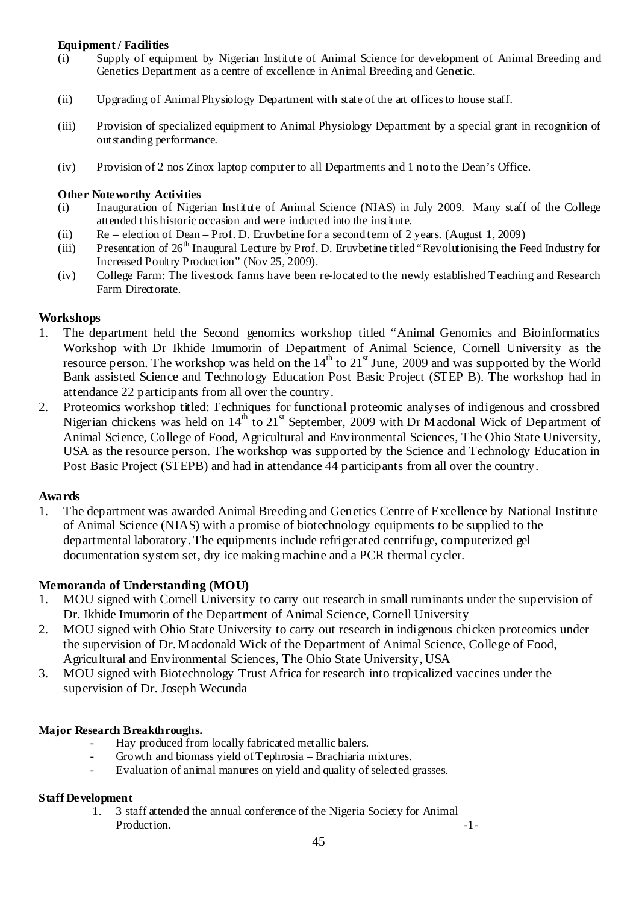### **Equipment / Facilities**

- (i) Supply of equipment by Nigerian Institute of Animal Science for development of Animal Breeding and Genetics Department as a centre of excellence in Animal Breeding and Genetic.
- (ii) Upgrading of Animal Physiology Department with state of the art offices to house staff.
- (iii) Provision of specialized equipment to Animal Physiology Department by a special grant in recognition of outstanding performance.
- (iv) Provision of 2 nos Zinox laptop computer to all Departments and 1 no to the Dean's Office.

#### **Other Noteworthy Activities**

- (i) Inauguration of Nigerian Institute of Animal Science (NIAS) in July 2009. Many staff of the College attended this historic occasion and were inducted into the institute.
- (ii) Re election of Dean Prof. D. Eruvbetine for a second term of 2 years. (August 1, 2009)
- (iii) Presentation of  $26<sup>th</sup>$  Inaugural Lecture by Prof. D. Eruvbetine titled "Revolutionising the Feed Industry for Increased Poultry Production" (Nov 25, 2009).
- (iv) College Farm: The livestock farms have been re-located to the newly established Teaching and Research Farm Directorate.

### **Workshops**

- 1. The department held the Second genomics workshop titled "Animal Genomics and Bioinformatics Workshop with Dr Ikhide Imumorin of Department of Animal Science, Cornell University as the resource person. The workshop was held on the  $14<sup>th</sup>$  to  $21<sup>st</sup>$  June, 2009 and was supported by the World Bank assisted Science and Technology Education Post Basic Project (STEP B). The workshop had in attendance 22 participants from all over the country.
- 2. Proteomics workshop titled: Techniques for functional proteomic analyses of indigenous and crossbred Nigerian chickens was held on  $14<sup>th</sup>$  to  $21<sup>st</sup>$  September, 2009 with Dr Macdonal Wick of Department of Animal Science, College of Food, Agricultural and Environmental Sciences, The Ohio State University, USA as the resource person. The workshop was supported by the Science and Technology Education in Post Basic Project (STEPB) and had in attendance 44 participants from all over the country.

### **Awards**

1. The department was awarded Animal Breeding and Genetics Centre of Excellence by National Institute of Animal Science (NIAS) with a promise of biotechnology equipments to be supplied to the departmental laboratory. The equipments include refrigerated centrifuge, computerized gel documentation system set, dry ice making machine and a PCR thermal cycler.

### **Memoranda of Understanding (MOU)**

- 1. MOU signed with Cornell University to carry out research in small ruminants under the supervision of Dr. Ikhide Imumorin of the Department of Animal Science, Cornell University
- 2. MOU signed with Ohio State University to carry out research in indigenous chicken proteomics under the supervision of Dr. Macdonald Wick of the Department of Animal Science, College of Food, Agricultural and Environmental Sciences, The Ohio State University, USA
- 3. MOU signed with Biotechnology Trust Africa for research into tropicalized vaccines under the supervision of Dr. Joseph Wecunda

### **Major Research Breakthroughs.**

- Hay produced from locally fabricated metallic balers.
- Growth and biomass yield of Tephrosia Brachiaria mixtures.
- Evaluation of animal manures on yield and quality of selected grasses.

### **Staff Development**

1. 3 staff attended the annual conference of the Nigeria Society for Animal Production.  $\qquad \qquad -1$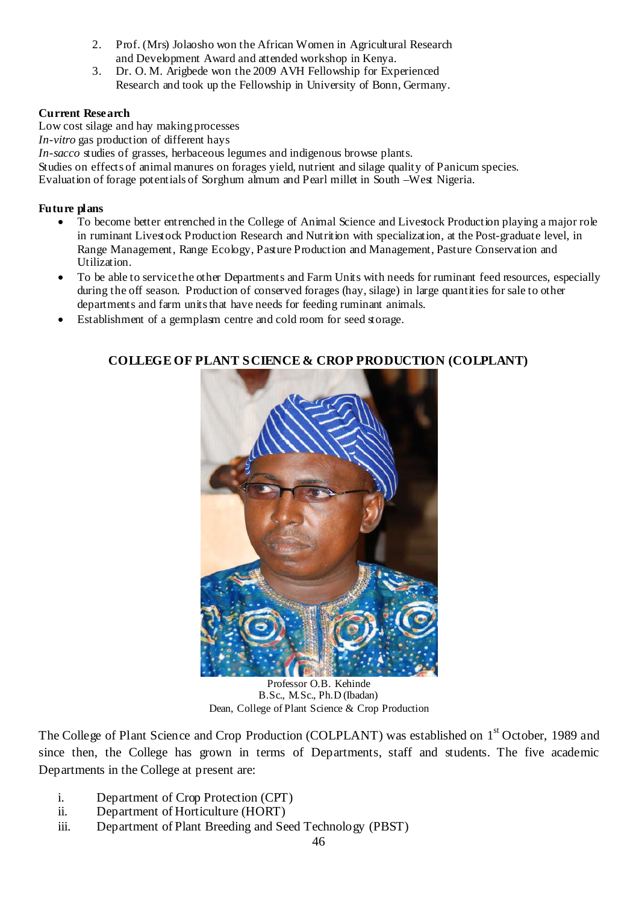- 2. Prof. (Mrs) Jolaosho won the African Women in Agricultural Research and Development Award and attended workshop in Kenya.
- 3. Dr. O. M. Arigbede won the 2009 AVH Fellowship for Experienced Research and took up the Fellowship in University of Bonn, Germany.

### **Current Research**

Low cost silage and hay making processes *In-vitro* gas production of different hays *In-sacco* studies of grasses, herbaceous legumes and indigenous browse plants. Studies on effects of animal manures on forages yield, nutrient and silage quality of Panicum species. Evaluation of forage potentials of Sorghum almum and Pearl millet in South –West Nigeria.

### **Future plans**

- To become better entrenched in the College of Animal Science and Livestock Production playing a major role in ruminant Livestock Production Research and Nutrition with specialization, at the Post-graduate level, in Range Management, Range Ecology, Pasture Production and Management, Pasture Conservation and Utilization.
- To be able to service the other Departments and Farm Units with needs for ruminant feed resources, especially during the off season. Production of conserved forages (hay, silage) in large quantities for sale to other departments and farm units that have needs for feeding ruminant animals.
- Establishment of a germplasm centre and cold room for seed storage.



**COLLEGE OF PLANT SCIENCE & CROP PRODUCTION (COLPLANT)** 

Professor O.B. Kehinde B.Sc., M.Sc., Ph.D (Ibadan) Dean, College of Plant Science & Crop Production

The College of Plant Science and Crop Production (COLPLANT) was established on 1<sup>st</sup> October, 1989 and since then, the College has grown in terms of Departments, staff and students. The five academic Departments in the College at present are:

- i. Department of Crop Protection (CPT)
- ii. Department of Horticulture (HORT)
- iii. Department of Plant Breeding and Seed Technology (PBST)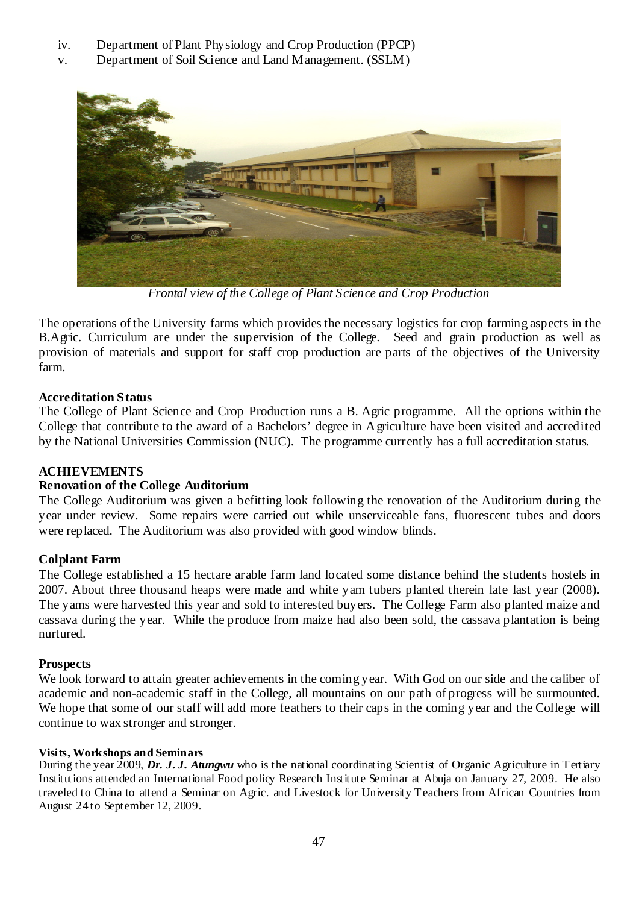- iv. Department of Plant Physiology and Crop Production (PPCP)
- v. Department of Soil Science and Land Management. (SSLM)



*Frontal view of the College of Plant Science and Crop Production* 

The operations of the University farms which provides the necessary logistics for crop farming aspects in the B.Agric. Curriculum are under the supervision of the College. Seed and grain production as well as provision of materials and support for staff crop production are parts of the objectives of the University farm.

## **Accreditation Status**

The College of Plant Science and Crop Production runs a B. Agric programme. All the options within the College that contribute to the award of a Bachelors' degree in Agriculture have been visited and accredited by the National Universities Commission (NUC). The programme currently has a full accreditation status.

## **ACHIEVEMENTS**

## **Renovation of the College Auditorium**

The College Auditorium was given a befitting look following the renovation of the Auditorium during the year under review. Some repairs were carried out while unserviceable fans, fluorescent tubes and doors were replaced. The Auditorium was also provided with good window blinds.

## **Colplant Farm**

The College established a 15 hectare arable farm land located some distance behind the students hostels in 2007. About three thousand heaps were made and white yam tubers planted therein late last year (2008). The yams were harvested this year and sold to interested buyers. The College Farm also planted maize and cassava during the year. While the produce from maize had also been sold, the cassava plantation is being nurtured.

### **Prospects**

We look forward to attain greater achievements in the coming year. With God on our side and the caliber of academic and non-academic staff in the College, all mountains on our path of progress will be surmounted. We hope that some of our staff will add more feathers to their caps in the coming year and the College will continue to wax stronger and stronger.

### **Visits, Workshops and Seminars**

During the year 2009, *Dr. J. J. Atungwu* who is the national coordinating Scientist of Organic Agriculture in Tertiary Institutions attended an International Food policy Research Institute Seminar at Abuja on January 27, 2009. He also traveled to China to attend a Seminar on Agric. and Livestock for University Teachers from African Countries from August 24 to September 12, 2009.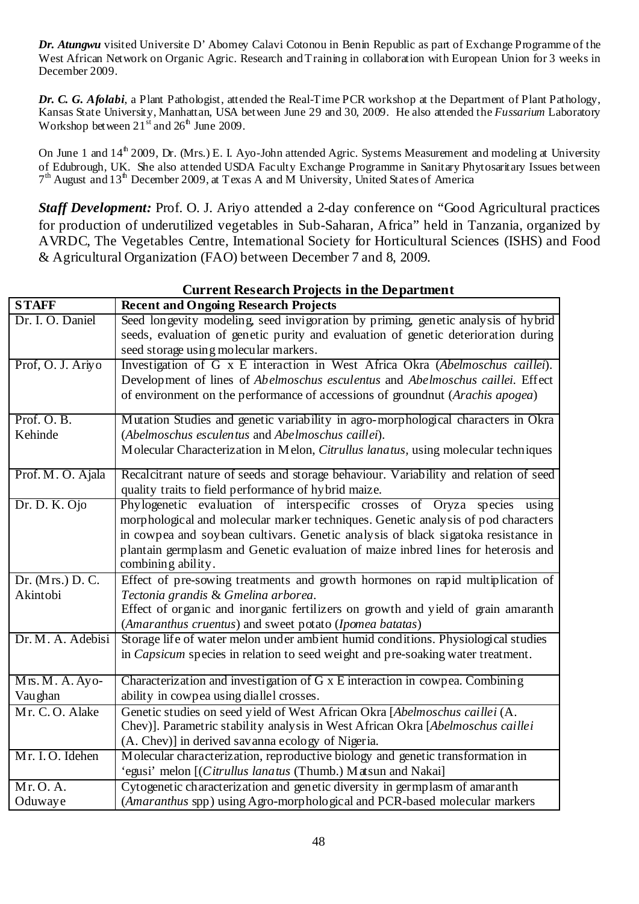*Dr. Atungwu* visited Universite D' Abomey Calavi Cotonou in Benin Republic as part of Exchange Programme of the West African Network on Organic Agric. Research and Training in collaboration with European Union for 3 weeks in December 2009.

*Dr. C. G. Afolabi*, a Plant Pathologist, attended the Real-Time PCR workshop at the Department of Plant Pathology, Kansas State University, Manhattan, USA between June 29 and 30, 2009. He also attended the *Fussarium* Laboratory Workshop between  $21<sup>st</sup>$  and  $26<sup>th</sup>$  June 2009.

On June 1 and 14<sup>th</sup> 2009, Dr. (Mrs.) E. I. Ayo-John attended Agric. Systems Measurement and modeling at University of Edubrough, UK. She also attended USDA Faculty Exchange Programme in Sanitary Phytosaritary Issues between  $7<sup>th</sup>$  August and  $13<sup>th</sup>$  December 2009, at Texas A and M University, United States of America

*Staff Development:* Prof. O. J. Ariyo attended a 2-day conference on "Good Agricultural practices for production of underutilized vegetables in Sub-Saharan, Africa" held in Tanzania, organized by AVRDC, The Vegetables Centre, International Society for Horticultural Sciences (ISHS) and Food & Agricultural Organization (FAO) between December 7 and 8, 2009.

| <b>STAFF</b><br><b>Recent and Ongoing Research Projects</b>                                               |       |
|-----------------------------------------------------------------------------------------------------------|-------|
|                                                                                                           |       |
| Seed longevity modeling, seed invigoration by priming, genetic analysis of hybrid<br>Dr. I. O. Daniel     |       |
| seeds, evaluation of genetic purity and evaluation of genetic deterioration during                        |       |
| seed storage using molecular markers.                                                                     |       |
| Prof, O. J. Ariyo<br>Investigation of G x E interaction in West Africa Okra (Abelmoschus caillei).        |       |
| Development of lines of Abelmoschus esculentus and Abelmoschus caillei. Effect                            |       |
| of environment on the performance of accessions of groundnut (Arachis apogea)                             |       |
| Prof. O.B.<br>Mutation Studies and genetic variability in agro-morphological characters in Okra           |       |
| Kehinde<br>(Abelmoschus esculentus and Abelmoschus caillei).                                              |       |
| Molecular Characterization in Melon, Citrullus lanatus, using molecular techniques                        |       |
|                                                                                                           |       |
| Prof. M. O. Ajala<br>Recalcitrant nature of seeds and storage behaviour. Variability and relation of seed |       |
| quality traits to field performance of hybrid maize.                                                      |       |
| Dr. D. K. Ojo<br>Phylogenetic evaluation of interspecific crosses of Oryza species                        | using |
| morphological and molecular marker techniques. Genetic analysis of pod characters                         |       |
| in cowpea and soybean cultivars. Genetic analysis of black sigatoka resistance in                         |       |
| plantain germplasm and Genetic evaluation of maize inbred lines for heterosis and                         |       |
| combining ability.                                                                                        |       |
| Effect of pre-sowing treatments and growth hormones on rapid multiplication of<br>Dr. ( $Mrs$ .) D. C.    |       |
| Tectonia grandis & Gmelina arborea.<br>Akintobi                                                           |       |
| Effect of organic and inorganic fertilizers on growth and yield of grain amaranth                         |       |
| (Amaranthus cruentus) and sweet potato (Ipomea batatas)                                                   |       |
| Storage life of water melon under ambient humid conditions. Physiological studies<br>Dr. M. A. Adebisi    |       |
| in <i>Capsicum</i> species in relation to seed weight and pre-soaking water treatment.                    |       |
| Mrs. M. A. Ayo-<br>Characterization and investigation of G x E interaction in cowpea. Combining           |       |
| Vau ghan<br>ability in cowpea using diallel crosses.                                                      |       |
| Mr. C.O. Alake<br>Genetic studies on seed yield of West African Okra [Abelmoschus caillei (A.             |       |
| Chev)]. Parametric stability analysis in West African Okra [Abelmoschus caillei                           |       |
| (A. Chev)] in derived savanna ecology of Nigeria.                                                         |       |
| Mr. I.O. Idehen<br>Molecular characterization, reproductive biology and genetic transformation in         |       |
| 'egusi' melon [(Citrullus lanatus (Thumb.) Matsun and Nakai]                                              |       |
| Cytogenetic characterization and genetic diversity in germplasm of amaranth<br>Mr. O. A.                  |       |
| (Amaranthus spp) using Agro-morphological and PCR-based molecular markers<br>Oduwaye                      |       |

**Current Research Projects in the Department**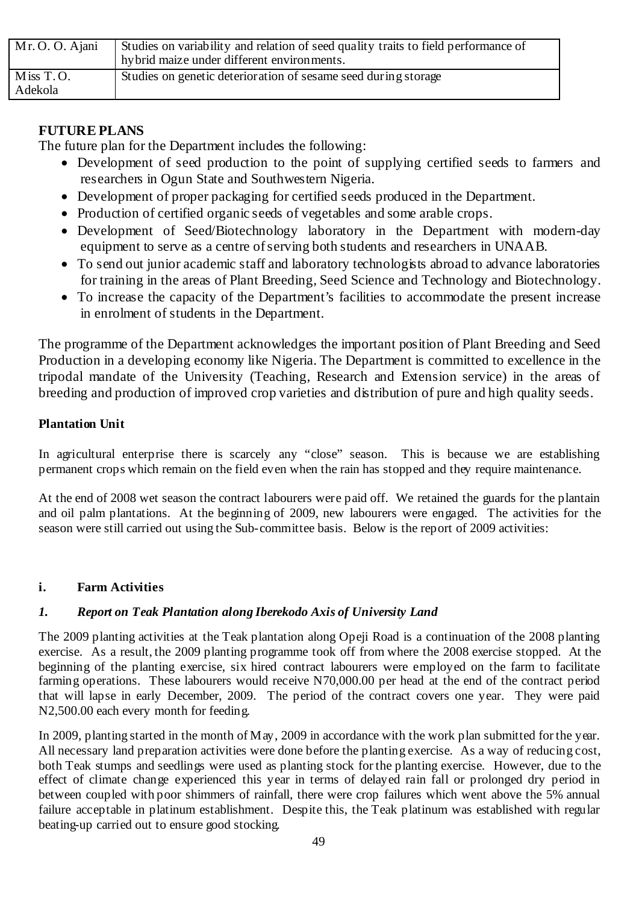| Mr. O. O. Ajani      | Studies on variability and relation of seed quality traits to field performance of<br>hy brid maize under different environments. |
|----------------------|-----------------------------------------------------------------------------------------------------------------------------------|
| Miss T.O.<br>Adekola | Studies on genetic deterioration of sesame seed during storage                                                                    |

# **FUTURE PLANS**

The future plan for the Department includes the following:

- Development of seed production to the point of supplying certified seeds to farmers and researchers in Ogun State and Southwestern Nigeria.
- Development of proper packaging for certified seeds produced in the Department.
- Production of certified organic seeds of vegetables and some arable crops.
- Development of Seed/Biotechnology laboratory in the Department with modern-day equipment to serve as a centre of serving both students and researchers in UNAAB.
- To send out junior academic staff and laboratory technologists abroad to advance laboratories for training in the areas of Plant Breeding, Seed Science and Technology and Biotechnology.
- To increase the capacity of the Department's facilities to accommodate the present increase in enrolment of students in the Department.

The programme of the Department acknowledges the important position of Plant Breeding and Seed Production in a developing economy like Nigeria. The Department is committed to excellence in the tripodal mandate of the University (Teaching, Research and Extension service) in the areas of breeding and production of improved crop varieties and distribution of pure and high quality seeds.

# **Plantation Unit**

In agricultural enterprise there is scarcely any "close" season. This is because we are establishing permanent crops which remain on the field even when the rain has stopped and they require maintenance.

At the end of 2008 wet season the contract labourers were paid off. We retained the guards for the plantain and oil palm plantations. At the beginning of 2009, new labourers were engaged. The activities for the season were still carried out using the Sub-committee basis. Below is the report of 2009 activities:

# **i. Farm Activities**

# *1. Report on Teak Plantation along Iberekodo Axis of University Land*

The 2009 planting activities at the Teak plantation along Opeji Road is a continuation of the 2008 planting exercise. As a result, the 2009 planting programme took off from where the 2008 exercise stopped. At the beginning of the planting exercise, six hired contract labourers were employed on the farm to facilitate farming operations. These labourers would receive N70,000.00 per head at the end of the contract period that will lapse in early December, 2009. The period of the contract covers one year. They were paid N2,500.00 each every month for feeding.

In 2009, planting started in the month of May, 2009 in accordance with the work plan submitted for the year. All necessary land preparation activities were done before the planting exercise. As a way of reducing cost, both Teak stumps and seedlings were used as planting stock for the planting exercise. However, due to the effect of climate change experienced this year in terms of delayed rain fall or prolonged dry period in between coupled with poor shimmers of rainfall, there were crop failures which went above the 5% annual failure acceptable in platinum establishment. Despite this, the Teak platinum was established with regular beating-up carried out to ensure good stocking.